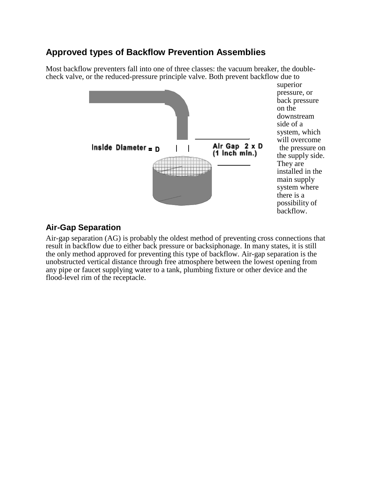# **Approved types of Backflow Prevention Assemblies**

Most backflow preventers fall into one of three classes: the vacuum breaker, the doublecheck valve, or the reduced-pressure principle valve. Both prevent backflow due to



superior pressure, or back pressure on the downstream side of a system, which will overcome the supply side. They are installed in the main supply system where there is a possibility of backflow.

# **Air-Gap Separation**

Air-gap separation (AG) is probably the oldest method of preventing cross connections that result in backflow due to either back pressure or backsiphonage. In many states, it is still the only method approved for preventing this type of backflow. Air-gap separation is the unobstructed vertical distance through free atmosphere between the lowest opening from any pipe or faucet supplying water to a tank, plumbing fixture or other device and the flood-level rim of the receptacle.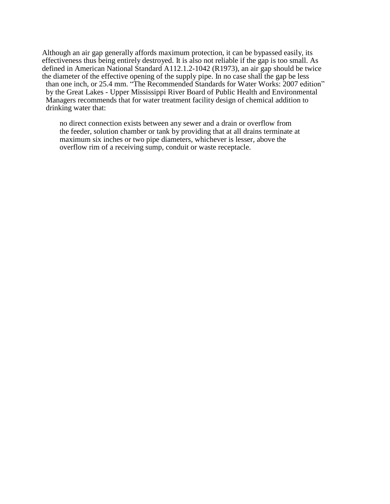Although an air gap generally affords maximum protection, it can be bypassed easily, its effectiveness thus being entirely destroyed. It is also not reliable if the gap is too small. As defined in American National Standard A112.1.2-1042 (R1973), an air gap should be twice the diameter of the effective opening of the supply pipe. In no case shall the gap be less than one inch, or 25.4 mm. "The Recommended Standards for Water Works: 2007 edition" by the Great Lakes - Upper Mississippi River Board of Public Health and Environmental Managers recommends that for water treatment facility design of chemical addition to drinking water that:

no direct connection exists between any sewer and a drain or overflow from the feeder, solution chamber or tank by providing that at all drains terminate at maximum six inches or two pipe diameters, whichever is lesser, above the overflow rim of a receiving sump, conduit or waste receptacle.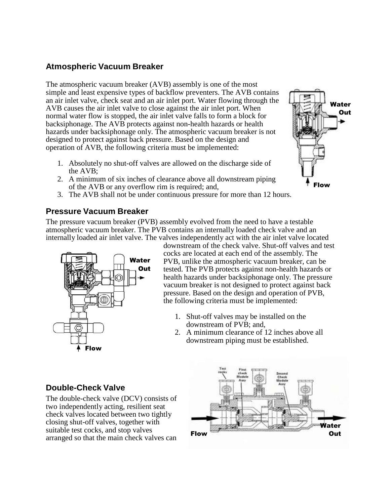### **Atmospheric Vacuum Breaker**

The atmospheric vacuum breaker (AVB) assembly is one of the most simple and least expensive types of backflow preventers. The AVB contains an air inlet valve, check seat and an air inlet port. Water flowing through the AVB causes the air inlet valve to close against the air inlet port. When normal water flow is stopped, the air inlet valve falls to form a block for backsiphonage. The AVB protects against non-health hazards or health hazards under backsiphonage only. The atmospheric vacuum breaker is not designed to protect against back pressure. Based on the design and operation of AVB, the following criteria must be implemented:

- 1. Absolutely no shut-off valves are allowed on the discharge side of the AVB;
- 2. A minimum of six inches of clearance above all downstream piping of the AVB or any overflow rim is required; and,
- 3. The AVB shall not be under continuous pressure for more than 12 hours.

#### **Pressure Vacuum Breaker**

The pressure vacuum breaker (PVB) assembly evolved from the need to have a testable atmospheric vacuum breaker. The PVB contains an internally loaded check valve and an internally loaded air inlet valve. The valves independently act with the air inlet valve located



downstream of the check valve. Shut-off valves and test cocks are located at each end of the assembly. The PVB, unlike the atmospheric vacuum breaker, can be tested. The PVB protects against non-health hazards or health hazards under backsiphonage only. The pressure vacuum breaker is not designed to protect against back pressure. Based on the design and operation of PVB, the following criteria must be implemented:

Flow

Water **Out** 

- 1. Shut-off valves may be installed on the downstream of PVB; and,
- 2. A minimum clearance of 12 inches above all downstream piping must be established.

### **Double-Check Valve**

The double-check valve (DCV) consists of two independently acting, resilient seat check valves located between two tightly closing shut-off valves, together with suitable test cocks, and stop valves arranged so that the main check valves can

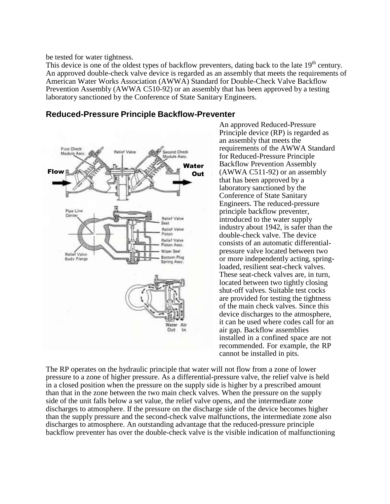be tested for water tightness.

This device is one of the oldest types of backflow preventers, dating back to the late 19<sup>th</sup> century. An approved double-check valve device is regarded as an assembly that meets the requirements of American Water Works Association (AWWA) Standard for Double-Check Valve Backflow Prevention Assembly (AWWA C510-92) or an assembly that has been approved by a testing laboratory sanctioned by the Conference of State Sanitary Engineers.



**Reduced-Pressure Principle Backflow-Preventer**

An approved Reduced-Pressure Principle device (RP) is regarded as an assembly that meets the requirements of the AWWA Standard for Reduced-Pressure Principle Backflow Prevention Assembly (AWWA C511-92) or an assembly that has been approved by a laboratory sanctioned by the Conference of State Sanitary Engineers. The reduced-pressure principle backflow preventer, introduced to the water supply industry about 1942, is safer than the double-check valve. The device consists of an automatic differentialpressure valve located between two or more independently acting, springloaded, resilient seat-check valves. These seat-check valves are, in turn, located between two tightly closing shut-off valves. Suitable test cocks are provided for testing the tightness of the main check valves. Since this device discharges to the atmosphere, it can be used where codes call for an air gap. Backflow assemblies installed in a confined space are not recommended. For example, the RP cannot be installed in pits.

The RP operates on the hydraulic principle that water will not flow from a zone of lower pressure to a zone of higher pressure. As a differential-pressure valve, the relief valve is held in a closed position when the pressure on the supply side is higher by a prescribed amount than that in the zone between the two main check valves. When the pressure on the supply side of the unit falls below a set value, the relief valve opens, and the intermediate zone discharges to atmosphere. If the pressure on the discharge side of the device becomes higher than the supply pressure and the second-check valve malfunctions, the intermediate zone also discharges to atmosphere. An outstanding advantage that the reduced-pressure principle backflow preventer has over the double-check valve is the visible indication of malfunctioning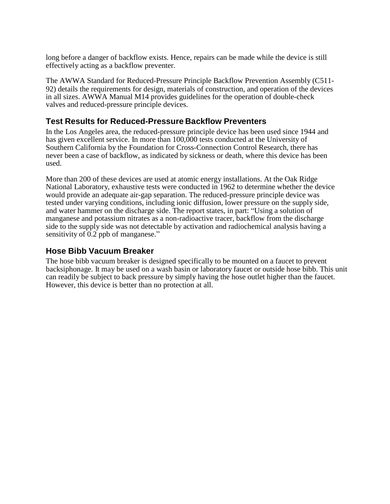long before a danger of backflow exists. Hence, repairs can be made while the device is still effectively acting as a backflow preventer.

The AWWA Standard for Reduced-Pressure Principle Backflow Prevention Assembly (C511- 92) details the requirements for design, materials of construction, and operation of the devices in all sizes. AWWA Manual M14 provides guidelines for the operation of double-check valves and reduced-pressure principle devices.

### **Test Results for Reduced-Pressure Backflow Preventers**

In the Los Angeles area, the reduced-pressure principle device has been used since 1944 and has given excellent service. In more than 100,000 tests conducted at the University of Southern California by the Foundation for Cross-Connection Control Research, there has never been a case of backflow, as indicated by sickness or death, where this device has been used.

More than 200 of these devices are used at atomic energy installations. At the Oak Ridge National Laboratory, exhaustive tests were conducted in 1962 to determine whether the device would provide an adequate air-gap separation. The reduced-pressure principle device was tested under varying conditions, including ionic diffusion, lower pressure on the supply side, and water hammer on the discharge side. The report states, in part: "Using a solution of manganese and potassium nitrates as a non-radioactive tracer, backflow from the discharge side to the supply side was not detectable by activation and radiochemical analysis having a sensitivity of 0.2 ppb of manganese."

# **Hose Bibb Vacuum Breaker**

The hose bibb vacuum breaker is designed specifically to be mounted on a faucet to prevent backsiphonage. It may be used on a wash basin or laboratory faucet or outside hose bibb. This unit can readily be subject to back pressure by simply having the hose outlet higher than the faucet. However, this device is better than no protection at all.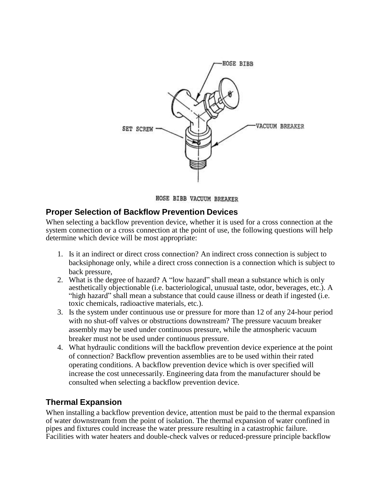

HOSE BIBB VACUUM BREAKER

#### **Proper Selection of Backflow Prevention Devices**

When selecting a backflow prevention device, whether it is used for a cross connection at the system connection or a cross connection at the point of use, the following questions will help determine which device will be most appropriate:

- 1. Is it an indirect or direct cross connection? An indirect cross connection is subject to backsiphonage only, while a direct cross connection is a connection which is subject to back pressure,
- 2. What is the degree of hazard? A "low hazard" shall mean a substance which is only aesthetically objectionable (i.e. bacteriological, unusual taste, odor, beverages, etc.). A "high hazard" shall mean a substance that could cause illness or death if ingested (i.e. toxic chemicals, radioactive materials, etc.).
- 3. Is the system under continuous use or pressure for more than 12 of any 24-hour period with no shut-off valves or obstructions downstream? The pressure vacuum breaker assembly may be used under continuous pressure, while the atmospheric vacuum breaker must not be used under continuous pressure.
- 4. What hydraulic conditions will the backflow prevention device experience at the point of connection? Backflow prevention assemblies are to be used within their rated operating conditions. A backflow prevention device which is over specified will increase the cost unnecessarily. Engineering data from the manufacturer should be consulted when selecting a backflow prevention device.

### **Thermal Expansion**

When installing a backflow prevention device, attention must be paid to the thermal expansion of water downstream from the point of isolation. The thermal expansion of water confined in pipes and fixtures could increase the water pressure resulting in a catastrophic failure. Facilities with water heaters and double-check valves or reduced-pressure principle backflow